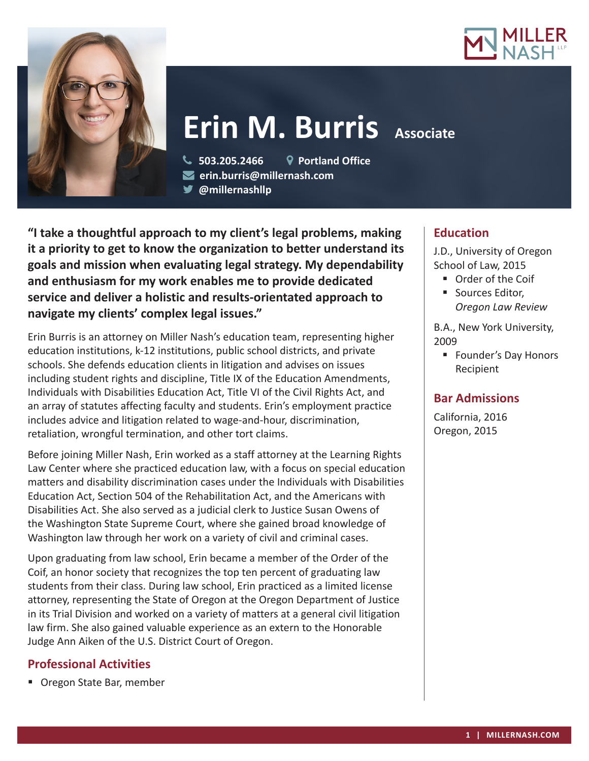



# **Erin M. Burris** Associate

 **503.205.2466 Portland Office erin.burris@millernash.com** 

**@millernashllp** 

**"I take a thoughtful approach to my client's legal problems, making it a priority to get to know the organization to better understand its goals and mission when evaluating legal strategy. My dependability and enthusiasm for my work enables me to provide dedicated service and deliver a holistic and results-orientated approach to navigate my clients' complex legal issues."**

Erin Burris is an attorney on Miller Nash's education team, representing higher education institutions, k-12 institutions, public school districts, and private schools. She defends education clients in litigation and advises on issues including student rights and discipline, Title IX of the Education Amendments, Individuals with Disabilities Education Act, Title VI of the Civil Rights Act, and an array of statutes affecting faculty and students. Erin's employment practice includes advice and litigation related to wage-and-hour, discrimination, retaliation, wrongful termination, and other tort claims.

Before joining Miller Nash, Erin worked as a staff attorney at the Learning Rights Law Center where she practiced education law, with a focus on special education matters and disability discrimination cases under the Individuals with Disabilities Education Act, Section 504 of the Rehabilitation Act, and the Americans with Disabilities Act. She also served as a judicial clerk to Justice Susan Owens of the Washington State Supreme Court, where she gained broad knowledge of Washington law through her work on a variety of civil and criminal cases.

Upon graduating from law school, Erin became a member of the Order of the Coif, an honor society that recognizes the top ten percent of graduating law students from their class. During law school, Erin practiced as a limited license attorney, representing the State of Oregon at the Oregon Department of Justice in its Trial Division and worked on a variety of matters at a general civil litigation law firm. She also gained valuable experience as an extern to the Honorable Judge Ann Aiken of the U.S. District Court of Oregon.

# **Professional Activities**

■ Oregon State Bar, member

# **Education**

J.D., University of Oregon School of Law, 2015

- Order of the Coif
- Sources Editor, *Oregon Law Review*

B.A., New York University, 2009

■ Founder's Day Honors Recipient

## **Bar Admissions**

California, 2016 Oregon, 2015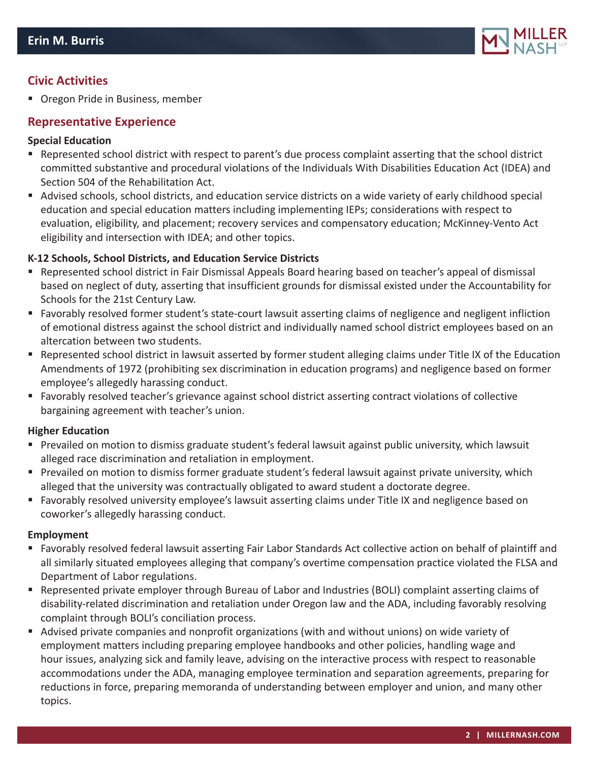

## **Civic Activities**

**• Oregon Pride in Business, member** 

### **Representative Experience**

#### **Special Education**

- Represented school district with respect to parent's due process complaint asserting that the school district committed substantive and procedural violations of the Individuals With Disabilities Education Act (IDEA) and Section 504 of the Rehabilitation Act.
- Advised schools, school districts, and education service districts on a wide variety of early childhood special education and special education matters including implementing IEPs; considerations with respect to evaluation, eligibility, and placement; recovery services and compensatory education; McKinney-Vento Act eligibility and intersection with IDEA; and other topics.

#### **K-12 Schools, School Districts, and Education Service Districts**

- Represented school district in Fair Dismissal Appeals Board hearing based on teacher's appeal of dismissal based on neglect of duty, asserting that insufficient grounds for dismissal existed under the Accountability for Schools for the 21st Century Law.
- Favorably resolved former student's state-court lawsuit asserting claims of negligence and negligent infliction of emotional distress against the school district and individually named school district employees based on an altercation between two students.
- Represented school district in lawsuit asserted by former student alleging claims under Title IX of the Education Amendments of 1972 (prohibiting sex discrimination in education programs) and negligence based on former employee's allegedly harassing conduct.
- Favorably resolved teacher's grievance against school district asserting contract violations of collective bargaining agreement with teacher's union.

#### **Higher Education**

- Prevailed on motion to dismiss graduate student's federal lawsuit against public university, which lawsuit alleged race discrimination and retaliation in employment.
- Prevailed on motion to dismiss former graduate student's federal lawsuit against private university, which alleged that the university was contractually obligated to award student a doctorate degree.
- Favorably resolved university employee's lawsuit asserting claims under Title IX and negligence based on coworker's allegedly harassing conduct.

#### **Employment**

- Favorably resolved federal lawsuit asserting Fair Labor Standards Act collective action on behalf of plaintiff and all similarly situated employees alleging that company's overtime compensation practice violated the FLSA and Department of Labor regulations.
- Represented private employer through Bureau of Labor and Industries (BOLI) complaint asserting claims of disability-related discrimination and retaliation under Oregon law and the ADA, including favorably resolving complaint through BOLI's conciliation process.
- Advised private companies and nonprofit organizations (with and without unions) on wide variety of employment matters including preparing employee handbooks and other policies, handling wage and hour issues, analyzing sick and family leave, advising on the interactive process with respect to reasonable accommodations under the ADA, managing employee termination and separation agreements, preparing for reductions in force, preparing memoranda of understanding between employer and union, and many other topics.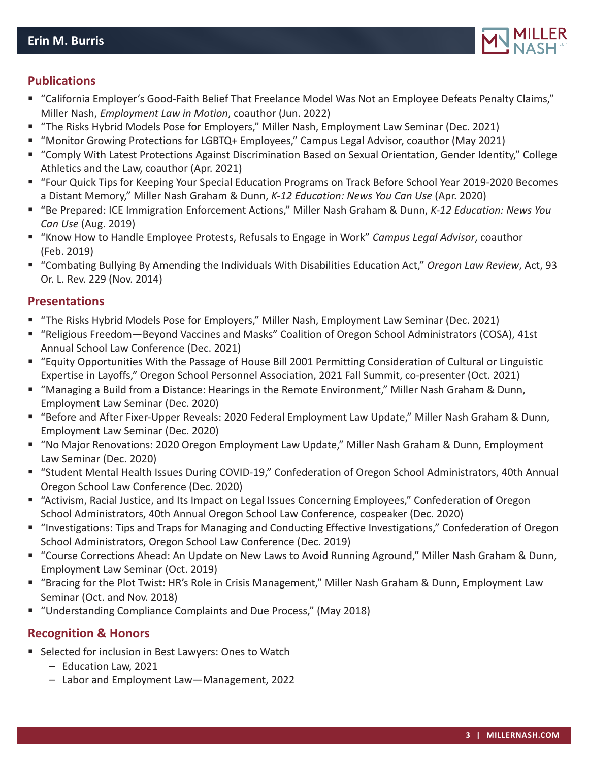

## **Publications**

- "California Employer's Good-Faith Belief That Freelance Model Was Not an Employee Defeats Penalty Claims," Miller Nash, *Employment Law in Motion*, coauthor (Jun. 2022)
- "The Risks Hybrid Models Pose for Employers," Miller Nash, Employment Law Seminar (Dec. 2021)
- "Monitor Growing Protections for LGBTQ+ Employees," Campus Legal Advisor, coauthor (May 2021)
- "Comply With Latest Protections Against Discrimination Based on Sexual Orientation, Gender Identity," College Athletics and the Law, coauthor (Apr. 2021)
- "Four Quick Tips for Keeping Your Special Education Programs on Track Before School Year 2019-2020 Becomes a Distant Memory," Miller Nash Graham & Dunn, *K-12 Education: News You Can Use* (Apr. 2020)
- "Be Prepared: ICE Immigration Enforcement Actions," Miller Nash Graham & Dunn, *K-12 Education: News You Can Use* (Aug. 2019)
- "Know How to Handle Employee Protests, Refusals to Engage in Work" *Campus Legal Advisor*, coauthor (Feb. 2019)
- "Combating Bullying By Amending the Individuals With Disabilities Education Act," *Oregon Law Review*, Act, 93 Or. L. Rev. 229 (Nov. 2014)

## **Presentations**

- "The Risks Hybrid Models Pose for Employers," Miller Nash, Employment Law Seminar (Dec. 2021)
- "Religious Freedom—Beyond Vaccines and Masks" Coalition of Oregon School Administrators (COSA), 41st Annual School Law Conference (Dec. 2021)
- "Equity Opportunities With the Passage of House Bill 2001 Permitting Consideration of Cultural or Linguistic Expertise in Layoffs," Oregon School Personnel Association, 2021 Fall Summit, co-presenter (Oct. 2021)
- "Managing a Build from a Distance: Hearings in the Remote Environment," Miller Nash Graham & Dunn, Employment Law Seminar (Dec. 2020)
- "Before and After Fixer-Upper Reveals: 2020 Federal Employment Law Update," Miller Nash Graham & Dunn, Employment Law Seminar (Dec. 2020)
- "No Major Renovations: 2020 Oregon Employment Law Update," Miller Nash Graham & Dunn, Employment Law Seminar (Dec. 2020)
- "Student Mental Health Issues During COVID-19," Confederation of Oregon School Administrators, 40th Annual Oregon School Law Conference (Dec. 2020)
- "Activism, Racial Justice, and Its Impact on Legal Issues Concerning Employees," Confederation of Oregon School Administrators, 40th Annual Oregon School Law Conference, cospeaker (Dec. 2020)
- "Investigations: Tips and Traps for Managing and Conducting Effective Investigations," Confederation of Oregon School Administrators, Oregon School Law Conference (Dec. 2019)
- "Course Corrections Ahead: An Update on New Laws to Avoid Running Aground," Miller Nash Graham & Dunn, Employment Law Seminar (Oct. 2019)
- "Bracing for the Plot Twist: HR's Role in Crisis Management," Miller Nash Graham & Dunn, Employment Law Seminar (Oct. and Nov. 2018)
- "Understanding Compliance Complaints and Due Process," (May 2018)

## **Recognition & Honors**

- Selected for inclusion in Best Lawyers: Ones to Watch
	- Education Law, 2021
	- Labor and Employment Law—Management, 2022